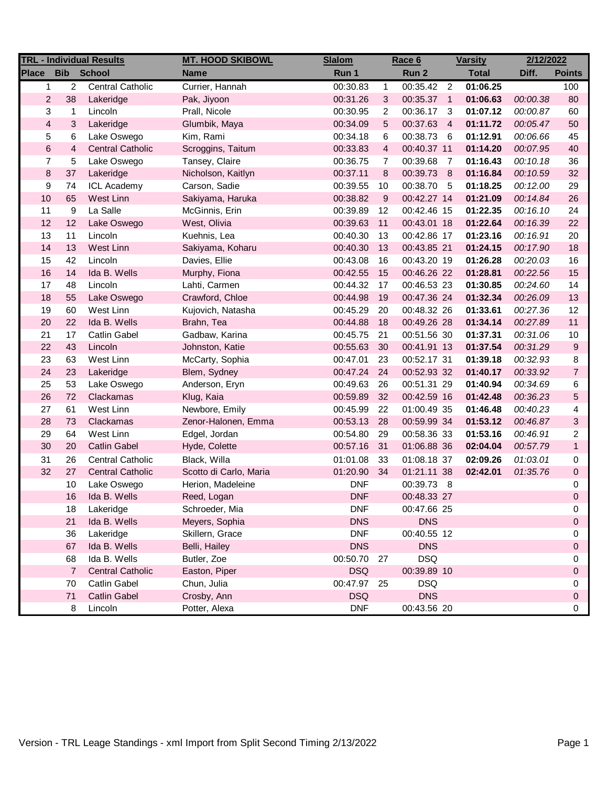| <b>TRL - Individual Results</b> |                |                         | <b>MT. HOOD SKIBOWL</b> | <b>Slalom</b> | <u>Race 6</u> |             | <b>Varsity</b> |              | 2/12/2022 |                |
|---------------------------------|----------------|-------------------------|-------------------------|---------------|---------------|-------------|----------------|--------------|-----------|----------------|
| <b>Place</b>                    |                | <b>Bib</b> School       | <b>Name</b>             | Run 1         |               | Run 2       |                | <b>Total</b> | Diff.     | <b>Points</b>  |
| $\mathbf{1}$                    | $\overline{2}$ | <b>Central Catholic</b> | Currier, Hannah         | 00:30.83      | $\mathbf{1}$  | 00:35.42    | $\overline{2}$ | 01:06.25     |           | 100            |
| $\mathbf{2}$                    | 38             | Lakeridge               | Pak, Jiyoon             | 00:31.26      | 3             | 00:35.37 1  |                | 01:06.63     | 00:00.38  | 80             |
| 3                               | 1              | Lincoln                 | Prall, Nicole           | 00:30.95      | 2             | 00:36.17    | -3             | 01:07.12     | 00:00.87  | 60             |
| $\overline{\mathbf{4}}$         | 3              | Lakeridge               | Glumbik, Maya           | 00:34.09      | $\mathbf 5$   | 00:37.63    | $\overline{4}$ | 01:11.72     | 00:05.47  | 50             |
| 5                               | 6              | Lake Oswego             | Kim, Rami               | 00:34.18      | 6             | 00:38.73    | - 6            | 01:12.91     | 00:06.66  | 45             |
| $\,6$                           | 4              | <b>Central Catholic</b> | Scroggins, Taitum       | 00:33.83      | 4             | 00:40.37 11 |                | 01:14.20     | 00:07.95  | 40             |
| $\overline{7}$                  | 5              | Lake Oswego             | Tansey, Claire          | 00:36.75      | 7             | 00:39.68    | $\overline{7}$ | 01:16.43     | 00:10.18  | 36             |
| $\bf 8$                         | 37             | Lakeridge               | Nicholson, Kaitlyn      | 00:37.11      | 8             | 00:39.73 8  |                | 01:16.84     | 00:10.59  | 32             |
| 9                               | 74             | <b>ICL Academy</b>      | Carson, Sadie           | 00:39.55      | 10            | 00:38.70 5  |                | 01:18.25     | 00:12.00  | 29             |
| 10                              | 65             | West Linn               | Sakiyama, Haruka        | 00:38.82      | 9             | 00:42.27 14 |                | 01:21.09     | 00:14.84  | 26             |
| 11                              | 9              | La Salle                | McGinnis, Erin          | 00:39.89      | 12            | 00:42.46 15 |                | 01:22.35     | 00:16.10  | 24             |
| 12                              | 12             | Lake Oswego             | West, Olivia            | 00:39.63      | 11            | 00:43.01 18 |                | 01:22.64     | 00:16.39  | 22             |
| 13                              | 11             | Lincoln                 | Kuehnis, Lea            | 00:40.30      | 13            | 00:42.86 17 |                | 01:23.16     | 00:16.91  | 20             |
| 14                              | 13             | West Linn               | Sakiyama, Koharu        | 00:40.30      | 13            | 00:43.85 21 |                | 01:24.15     | 00:17.90  | 18             |
| 15                              | 42             | Lincoln                 | Davies, Ellie           | 00:43.08      | 16            | 00:43.20 19 |                | 01:26.28     | 00:20.03  | 16             |
| 16                              | 14             | Ida B. Wells            | Murphy, Fiona           | 00:42.55      | 15            | 00:46.26 22 |                | 01:28.81     | 00:22.56  | 15             |
| 17                              | 48             | Lincoln                 | Lahti, Carmen           | 00:44.32      | 17            | 00:46.53 23 |                | 01:30.85     | 00:24.60  | 14             |
| 18                              | 55             | Lake Oswego             | Crawford, Chloe         | 00:44.98      | 19            | 00:47.36 24 |                | 01:32.34     | 00:26.09  | 13             |
| 19                              | 60             | West Linn               | Kujovich, Natasha       | 00:45.29      | 20            | 00:48.32 26 |                | 01:33.61     | 00:27.36  | 12             |
| 20                              | 22             | Ida B. Wells            | Brahn, Tea              | 00:44.88      | 18            | 00:49.26 28 |                | 01:34.14     | 00:27.89  | 11             |
| 21                              | 17             | Catlin Gabel            | Gadbaw, Karina          | 00:45.75      | 21            | 00:51.56 30 |                | 01:37.31     | 00:31.06  | 10             |
| 22                              | 43             | Lincoln                 | Johnston, Katie         | 00:55.63      | 30            | 00:41.91 13 |                | 01:37.54     | 00:31.29  | 9              |
| 23                              | 63             | West Linn               | McCarty, Sophia         | 00:47.01      | 23            | 00:52.17 31 |                | 01:39.18     | 00:32.93  | 8              |
| 24                              | 23             | Lakeridge               | Blem, Sydney            | 00:47.24      | 24            | 00:52.93 32 |                | 01:40.17     | 00:33.92  | $\overline{7}$ |
| 25                              | 53             | Lake Oswego             | Anderson, Eryn          | 00:49.63      | 26            | 00:51.31 29 |                | 01:40.94     | 00:34.69  | 6              |
| 26                              | 72             | Clackamas               | Klug, Kaia              | 00:59.89      | 32            | 00:42.59 16 |                | 01:42.48     | 00:36.23  | 5              |
| 27                              | 61             | West Linn               | Newbore, Emily          | 00:45.99      | 22            | 01:00.49 35 |                | 01:46.48     | 00:40.23  | 4              |
| 28                              | 73             | Clackamas               | Zenor-Halonen, Emma     | 00:53.13      | 28            | 00:59.99 34 |                | 01:53.12     | 00:46.87  | $\mathbf{3}$   |
| 29                              | 64             | West Linn               | Edgel, Jordan           | 00:54.80      | 29            | 00:58.36 33 |                | 01:53.16     | 00:46.91  | 2              |
| 30                              | 20             | <b>Catlin Gabel</b>     | Hyde, Colette           | 00:57.16      | 31            | 01:06.88 36 |                | 02:04.04     | 00:57.79  | $\mathbf{1}$   |
| 31                              | 26             | <b>Central Catholic</b> | Black, Willa            | 01:01.08      | 33            | 01:08.18 37 |                | 02:09.26     | 01:03.01  | 0              |
| 32                              | 27             | <b>Central Catholic</b> | Scotto di Carlo, Maria  | 01:20.90      | 34            | 01:21.11 38 |                | 02:42.01     | 01:35.76  | 0              |
|                                 | 10             | Lake Oswego             | Herion, Madeleine       | <b>DNF</b>    |               | 00:39.73 8  |                |              |           | 0              |
|                                 | 16             | Ida B. Wells            | Reed, Logan             | <b>DNF</b>    |               | 00:48.33 27 |                |              |           | $\Omega$       |
|                                 | 18             | Lakeridge               | Schroeder, Mia          | <b>DNF</b>    |               | 00:47.66 25 |                |              |           | 0              |
|                                 | 21             | Ida B. Wells            | Meyers, Sophia          | <b>DNS</b>    |               | <b>DNS</b>  |                |              |           | 0              |
|                                 | 36             | Lakeridge               | Skillern, Grace         | <b>DNF</b>    |               | 00:40.55 12 |                |              |           | 0              |
|                                 | 67             | Ida B. Wells            | Belli, Hailey           | <b>DNS</b>    |               | <b>DNS</b>  |                |              |           | 0              |
|                                 | 68             | Ida B. Wells            | Butler, Zoe             | 00:50.70 27   |               | <b>DSQ</b>  |                |              |           | 0              |
|                                 | $\overline{7}$ | <b>Central Catholic</b> | Easton, Piper           | <b>DSQ</b>    |               | 00:39.89 10 |                |              |           | 0              |
|                                 | 70             | <b>Catlin Gabel</b>     | Chun, Julia             | 00:47.97      | 25            | <b>DSQ</b>  |                |              |           | 0              |
|                                 | 71             | <b>Catlin Gabel</b>     | Crosby, Ann             | <b>DSQ</b>    |               | <b>DNS</b>  |                |              |           | 0              |
|                                 | 8              | Lincoln                 | Potter, Alexa           | <b>DNF</b>    |               | 00:43.56 20 |                |              |           | 0              |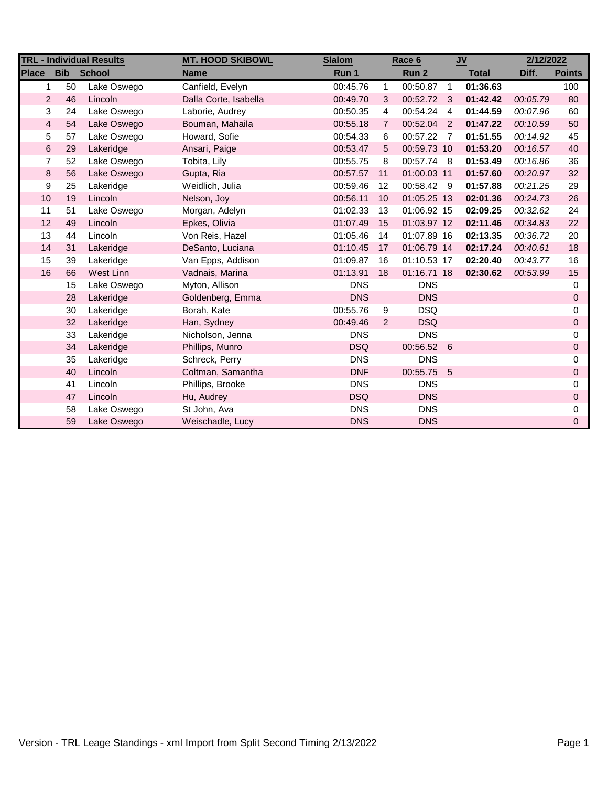| <b>TRL - Individual Results</b> |            |               | <b>MT. HOOD SKIBOWL</b> | <b>Slalom</b> |                | Race 6                  | <b>JV</b>      |              | 2/12/2022 |               |
|---------------------------------|------------|---------------|-------------------------|---------------|----------------|-------------------------|----------------|--------------|-----------|---------------|
| <b>Place</b>                    | <b>Bib</b> | <b>School</b> | <b>Name</b>             | Run 1         |                | Run 2                   |                | <b>Total</b> | Diff.     | <b>Points</b> |
| $\mathbf{1}$                    | 50         | Lake Oswego   | Canfield, Evelyn        | 00:45.76      | $\mathbf{1}$   | $\overline{00:}50.87$ 1 |                | 01:36.63     |           | 100           |
| $\overline{2}$                  | 46         | Lincoln       | Dalla Corte, Isabella   | 00:49.70      | 3              | 00:52.72 3              |                | 01:42.42     | 00:05.79  | 80            |
| 3                               | 24         | Lake Oswego   | Laborie, Audrey         | 00:50.35      | $\overline{4}$ | 00:54.24                | $\overline{4}$ | 01:44.59     | 00:07.96  | 60            |
| $\overline{\mathbf{4}}$         | 54         | Lake Oswego   | Bouman, Mahaila         | 00:55.18      | $\overline{7}$ | 00:52.04                | $\overline{2}$ | 01:47.22     | 00:10.59  | 50            |
| 5                               | 57         | Lake Oswego   | Howard, Sofie           | 00:54.33      | 6              | 00:57.22                | $\overline{7}$ | 01:51.55     | 00:14.92  | 45            |
| 6                               | 29         | Lakeridge     | Ansari, Paige           | 00:53.47      | 5              | 00:59.73 10             |                | 01:53.20     | 00:16.57  | 40            |
| 7                               | 52         | Lake Oswego   | Tobita, Lily            | 00:55.75      | 8              | 00:57.74 8              |                | 01:53.49     | 00:16.86  | 36            |
| $\bf 8$                         | 56         | Lake Oswego   | Gupta, Ria              | 00:57.57      | 11             | 01:00.03 11             |                | 01:57.60     | 00:20.97  | 32            |
| 9                               | 25         | Lakeridge     | Weidlich, Julia         | 00:59.46      | 12             | 00:58.42 9              |                | 01:57.88     | 00:21.25  | 29            |
| 10                              | 19         | Lincoln       | Nelson, Joy             | 00:56.11      | 10             | 01:05.25 13             |                | 02:01.36     | 00:24.73  | 26            |
| 11                              | 51         | Lake Oswego   | Morgan, Adelyn          | 01:02.33      | 13             | 01:06.92 15             |                | 02:09.25     | 00:32.62  | 24            |
| 12                              | 49         | Lincoln       | Epkes, Olivia           | 01:07.49      | 15             | 01:03.97 12             |                | 02:11.46     | 00:34.83  | 22            |
| 13                              | 44         | Lincoln       | Von Reis, Hazel         | 01:05.46      | 14             | 01:07.89 16             |                | 02:13.35     | 00:36.72  | 20            |
| 14                              | 31         | Lakeridge     | DeSanto, Luciana        | 01:10.45      | 17             | 01:06.79 14             |                | 02:17.24     | 00:40.61  | 18            |
| 15                              | 39         | Lakeridge     | Van Epps, Addison       | 01:09.87      | 16             | 01:10.53 17             |                | 02:20.40     | 00:43.77  | 16            |
| 16                              | 66         | West Linn     | Vadnais, Marina         | 01:13.91      | 18             | 01:16.71 18             |                | 02:30.62     | 00:53.99  | 15            |
|                                 | 15         | Lake Oswego   | Myton, Allison          | <b>DNS</b>    |                | <b>DNS</b>              |                |              |           | 0             |
|                                 | 28         | Lakeridge     | Goldenberg, Emma        | <b>DNS</b>    |                | <b>DNS</b>              |                |              |           | $\mathbf{0}$  |
|                                 | 30         | Lakeridge     | Borah, Kate             | 00:55.76      | 9              | <b>DSQ</b>              |                |              |           | $\Omega$      |
|                                 | 32         | Lakeridge     | Han, Sydney             | 00:49.46      | 2              | <b>DSQ</b>              |                |              |           | $\Omega$      |
|                                 | 33         | Lakeridge     | Nicholson, Jenna        | <b>DNS</b>    |                | <b>DNS</b>              |                |              |           | $\Omega$      |
|                                 | 34         | Lakeridge     | Phillips, Munro         | <b>DSQ</b>    |                | 00:56.52 6              |                |              |           | $\mathbf{0}$  |
|                                 | 35         | Lakeridge     | Schreck, Perry          | <b>DNS</b>    |                | <b>DNS</b>              |                |              |           | $\Omega$      |
|                                 | 40         | Lincoln       | Coltman, Samantha       | <b>DNF</b>    |                | 00:55.75 5              |                |              |           | $\Omega$      |
|                                 | 41         | Lincoln       | Phillips, Brooke        | <b>DNS</b>    |                | <b>DNS</b>              |                |              |           | $\Omega$      |
|                                 | 47         | Lincoln       | Hu, Audrey              | <b>DSQ</b>    |                | <b>DNS</b>              |                |              |           | $\mathbf{0}$  |
|                                 | 58         | Lake Oswego   | St John, Ava            | <b>DNS</b>    |                | <b>DNS</b>              |                |              |           | 0             |
|                                 | 59         | Lake Oswego   | Weischadle, Lucy        | <b>DNS</b>    |                | <b>DNS</b>              |                |              |           | $\mathbf{0}$  |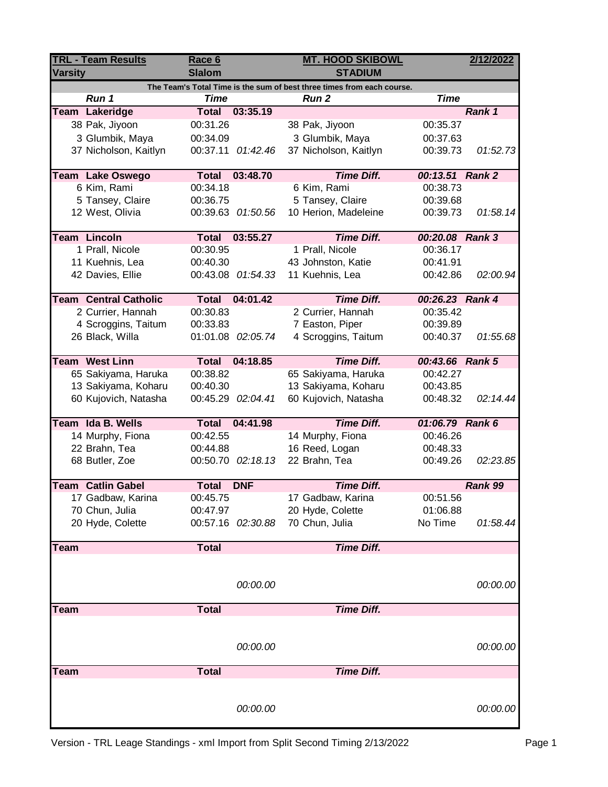| <b>TRL - Team Results</b> |                                                                        | Race 6        |                   | <b>MT. HOOD SKIBOWL</b> |                 |          |  |  |  |
|---------------------------|------------------------------------------------------------------------|---------------|-------------------|-------------------------|-----------------|----------|--|--|--|
| <b>Varsity</b>            |                                                                        | <b>Slalom</b> |                   | <b>STADIUM</b>          |                 |          |  |  |  |
|                           | The Team's Total Time is the sum of best three times from each course. |               |                   |                         |                 |          |  |  |  |
|                           | Run 1                                                                  | <b>Time</b>   |                   | <b>Run 2</b>            | <b>Time</b>     |          |  |  |  |
|                           | Team Lakeridge                                                         | <b>Total</b>  | 03:35.19          |                         |                 | Rank 1   |  |  |  |
|                           | 38 Pak, Jiyoon                                                         | 00:31.26      |                   | 38 Pak, Jiyoon          | 00:35.37        |          |  |  |  |
|                           | 3 Glumbik, Maya                                                        | 00:34.09      |                   | 3 Glumbik, Maya         | 00:37.63        |          |  |  |  |
|                           | 37 Nicholson, Kaitlyn                                                  | 00:37.11      | 01:42.46          | 37 Nicholson, Kaitlyn   | 00:39.73        | 01:52.73 |  |  |  |
|                           | <b>Team Lake Oswego</b>                                                | <b>Total</b>  | 03:48.70          | <b>Time Diff.</b>       | 00:13.51 Rank 2 |          |  |  |  |
|                           | 6 Kim, Rami                                                            | 00:34.18      |                   | 6 Kim, Rami             | 00:38.73        |          |  |  |  |
|                           | 5 Tansey, Claire                                                       | 00:36.75      |                   | 5 Tansey, Claire        | 00:39.68        |          |  |  |  |
|                           | 12 West, Olivia                                                        |               | 00:39.63 01:50.56 | 10 Herion, Madeleine    | 00:39.73        | 01:58.14 |  |  |  |
|                           | <b>Team Lincoln</b>                                                    | <b>Total</b>  | 03:55.27          | <b>Time Diff.</b>       | 00:20.08 Rank 3 |          |  |  |  |
|                           | 1 Prall, Nicole                                                        | 00:30.95      |                   | 1 Prall, Nicole         | 00:36.17        |          |  |  |  |
|                           | 11 Kuehnis, Lea                                                        | 00:40.30      |                   | 43 Johnston, Katie      | 00:41.91        |          |  |  |  |
|                           | 42 Davies, Ellie                                                       |               | 00:43.08 01:54.33 | 11 Kuehnis, Lea         | 00:42.86        | 02:00.94 |  |  |  |
|                           |                                                                        |               |                   |                         |                 |          |  |  |  |
|                           | <b>Team Central Catholic</b>                                           | <b>Total</b>  | 04:01.42          | <b>Time Diff.</b>       | 00:26.23 Rank 4 |          |  |  |  |
|                           | 2 Currier, Hannah                                                      | 00:30.83      |                   | 2 Currier, Hannah       | 00:35.42        |          |  |  |  |
|                           | 4 Scroggins, Taitum                                                    | 00:33.83      |                   | 7 Easton, Piper         | 00:39.89        |          |  |  |  |
|                           | 26 Black, Willa                                                        |               | 01:01.08 02:05.74 | 4 Scroggins, Taitum     | 00:40.37        | 01:55.68 |  |  |  |
|                           | <b>Team West Linn</b>                                                  | <b>Total</b>  | 04:18.85          | <b>Time Diff.</b>       | 00:43.66 Rank 5 |          |  |  |  |
|                           | 65 Sakiyama, Haruka                                                    | 00:38.82      |                   | 65 Sakiyama, Haruka     | 00:42.27        |          |  |  |  |
|                           | 13 Sakiyama, Koharu                                                    | 00:40.30      |                   | 13 Sakiyama, Koharu     | 00:43.85        |          |  |  |  |
|                           | 60 Kujovich, Natasha                                                   |               | 00:45.29 02:04.41 | 60 Kujovich, Natasha    | 00:48.32        | 02:14.44 |  |  |  |
|                           | Team Ida B. Wells                                                      | <b>Total</b>  | 04:41.98          | <b>Time Diff.</b>       | 01:06.79 Rank 6 |          |  |  |  |
|                           | 14 Murphy, Fiona                                                       | 00:42.55      |                   | 14 Murphy, Fiona        | 00:46.26        |          |  |  |  |
|                           | 22 Brahn, Tea                                                          | 00:44.88      |                   | 16 Reed, Logan          | 00:48.33        |          |  |  |  |
|                           | 68 Butler, Zoe                                                         |               | 00:50.70 02:18.13 | 22 Brahn, Tea           | 00:49.26        | 02:23.85 |  |  |  |
|                           |                                                                        |               |                   |                         |                 |          |  |  |  |
|                           | <b>Team Catlin Gabel</b>                                               | <b>Total</b>  | <b>DNF</b>        | <b>Time Diff.</b>       |                 | Rank 99  |  |  |  |
|                           | 17 Gadbaw, Karina                                                      | 00:45.75      |                   | 17 Gadbaw, Karina       | 00:51.56        |          |  |  |  |
|                           | 70 Chun, Julia                                                         | 00:47.97      |                   | 20 Hyde, Colette        | 01:06.88        |          |  |  |  |
|                           | 20 Hyde, Colette                                                       |               | 00:57.16 02:30.88 | 70 Chun, Julia          | No Time         | 01:58.44 |  |  |  |
| <b>Team</b>               |                                                                        | <b>Total</b>  |                   | <b>Time Diff.</b>       |                 |          |  |  |  |
|                           |                                                                        |               |                   |                         |                 |          |  |  |  |
|                           |                                                                        |               | 00:00.00          |                         |                 | 00:00.00 |  |  |  |
|                           |                                                                        |               |                   |                         |                 |          |  |  |  |
| <b>Team</b>               |                                                                        | <b>Total</b>  |                   | <b>Time Diff.</b>       |                 |          |  |  |  |
|                           |                                                                        |               |                   |                         |                 |          |  |  |  |
|                           |                                                                        |               | 00:00.00          |                         |                 | 00:00.00 |  |  |  |
|                           |                                                                        |               |                   |                         |                 |          |  |  |  |
| <b>Team</b>               |                                                                        | <b>Total</b>  |                   | <b>Time Diff.</b>       |                 |          |  |  |  |
|                           |                                                                        |               |                   |                         |                 |          |  |  |  |
|                           |                                                                        |               |                   |                         |                 |          |  |  |  |
|                           |                                                                        |               | 00:00.00          |                         |                 | 00:00.00 |  |  |  |